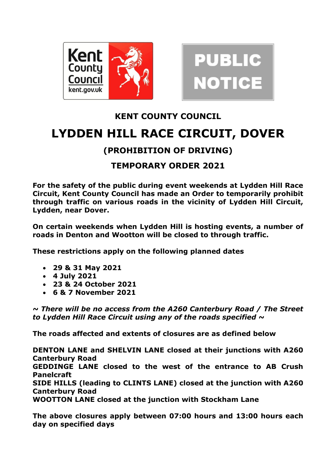



## **KENT COUNTY COUNCIL LYDDEN HILL RACE CIRCUIT, DOVER**

## **(PROHIBITION OF DRIVING)**

## **TEMPORARY ORDER 2021**

**For the safety of the public during event weekends at Lydden Hill Race Circuit, Kent County Council has made an Order to temporarily prohibit through traffic on various roads in the vicinity of Lydden Hill Circuit, Lydden, near Dover.** 

**On certain weekends when Lydden Hill is hosting events, a number of roads in Denton and Wootton will be closed to through traffic.**

**These restrictions apply on the following planned dates**

- **29 & 31 May 2021**
- **4 July 2021**
- **23 & 24 October 2021**
- **6 & 7 November 2021**

*~ There will be no access from the A260 Canterbury Road / The Street to Lydden Hill Race Circuit using any of the roads specified ~*

**The roads affected and extents of closures are as defined below**

**DENTON LANE and SHELVIN LANE closed at their junctions with A260 Canterbury Road GEDDINGE LANE closed to the west of the entrance to AB Crush Panelcraft SIDE HILLS (leading to CLINTS LANE) closed at the junction with A260 Canterbury Road WOOTTON LANE closed at the junction with Stockham Lane**

**The above closures apply between 07:00 hours and 13:00 hours each day on specified days**